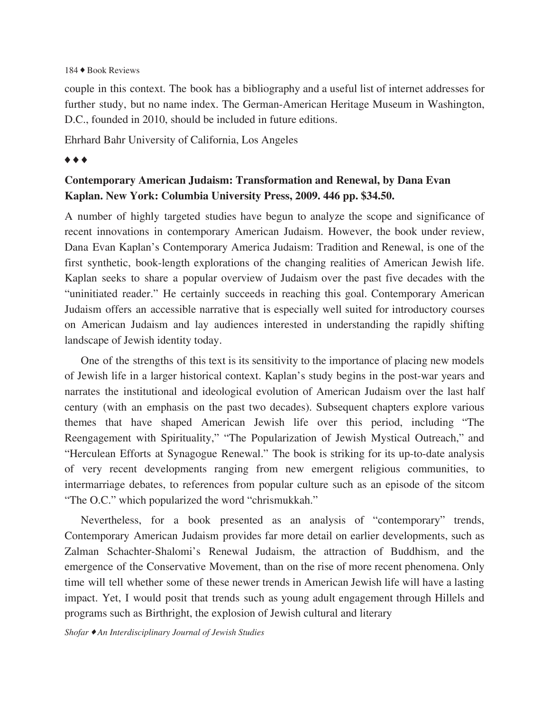## 184 ♦ Book Reviews

couple in this context. The book has a bibliography and a useful list of internet addresses for further study, but no name index. The German-American Heritage Museum in Washington, D.C., founded in 2010, should be included in future editions.

Ehrhard Bahr University of California, Los Angeles

## ♦ ♦ ♦

## **Contemporary American Judaism: Transformation and Renewal, by Dana Evan Kaplan. New York: Columbia University Press, 2009. 446 pp. \$34.50.**

A number of highly targeted studies have begun to analyze the scope and significance of recent innovations in contemporary American Judaism. However, the book under review, Dana Evan Kaplan's Contemporary America Judaism: Tradition and Renewal, is one of the first synthetic, book-length explorations of the changing realities of American Jewish life. Kaplan seeks to share a popular overview of Judaism over the past five decades with the "uninitiated reader." He certainly succeeds in reaching this goal. Contemporary American Judaism offers an accessible narrative that is especially well suited for introductory courses on American Judaism and lay audiences interested in understanding the rapidly shifting landscape of Jewish identity today.

One of the strengths of this text is its sensitivity to the importance of placing new models of Jewish life in a larger historical context. Kaplan's study begins in the post-war years and narrates the institutional and ideological evolution of American Judaism over the last half century (with an emphasis on the past two decades). Subsequent chapters explore various themes that have shaped American Jewish life over this period, including "The Reengagement with Spirituality," "The Popularization of Jewish Mystical Outreach," and "Herculean Efforts at Synagogue Renewal." The book is striking for its up-to-date analysis of very recent developments ranging from new emergent religious communities, to intermarriage debates, to references from popular culture such as an episode of the sitcom "The O.C." which popularized the word "chrismukkah."

Nevertheless, for a book presented as an analysis of "contemporary" trends, Contemporary American Judaism provides far more detail on earlier developments, such as Zalman Schachter-Shalomi's Renewal Judaism, the attraction of Buddhism, and the emergence of the Conservative Movement, than on the rise of more recent phenomena. Only time will tell whether some of these newer trends in American Jewish life will have a lasting impact. Yet, I would posit that trends such as young adult engagement through Hillels and programs such as Birthright, the explosion of Jewish cultural and literary

*Shofar* ♦ *An Interdisciplinary Journal of Jewish Studies*